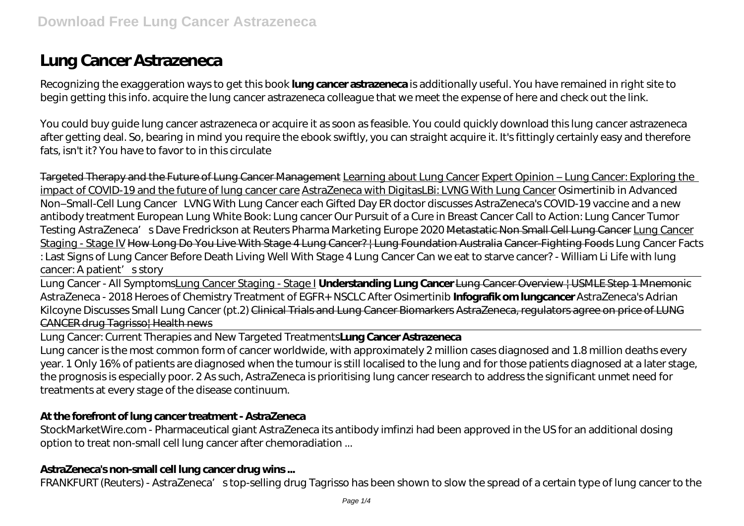# **Lung Cancer Astrazeneca**

Recognizing the exaggeration ways to get this book **lung cancer astrazeneca** is additionally useful. You have remained in right site to begin getting this info. acquire the lung cancer astrazeneca colleague that we meet the expense of here and check out the link.

You could buy guide lung cancer astrazeneca or acquire it as soon as feasible. You could quickly download this lung cancer astrazeneca after getting deal. So, bearing in mind you require the ebook swiftly, you can straight acquire it. It's fittingly certainly easy and therefore fats, isn't it? You have to favor to in this circulate

Targeted Therapy and the Future of Lung Cancer Management Learning about Lung Cancer Expert Opinion – Lung Cancer: Exploring the impact of COVID-19 and the future of lung cancer care AstraZeneca with DigitasLBi: LVNG With Lung Cancer *Osimertinib in Advanced Non–Small-Cell Lung Cancer* LVNG With Lung Cancer each Gifted Day *ER doctor discusses AstraZeneca's COVID-19 vaccine and a new antibody treatment European Lung White Book: Lung cancer Our Pursuit of a Cure in Breast Cancer Call to Action: Lung Cancer Tumor Testing AstraZeneca's Dave Fredrickson at Reuters Pharma Marketing Europe 2020* Metastatic Non Small Cell Lung Cancer Lung Cancer Staging - Stage IV How Long Do You Live With Stage 4 Lung Cancer? | Lung Foundation Australia Cancer-Fighting Foods *Lung Cancer Facts : Last Signs of Lung Cancer Before Death Living Well With Stage 4 Lung Cancer Can we eat to starve cancer? - William Li Life with lung cancer: A patient's story*

Lung Cancer - All SymptomsLung Cancer Staging - Stage I **Understanding Lung Cancer** Lung Cancer Overview | USMLE Step 1 Mnemonic *AstraZeneca - 2018 Heroes of Chemistry Treatment of EGFR+ NSCLC After Osimertinib* **Infografik om lungcancer** *AstraZeneca's Adrian Kilcoyne Discusses Small Lung Cancer (pt.2)* Clinical Trials and Lung Cancer Biomarkers AstraZeneca, regulators agree on price of LUNG CANCER drug Tagrisso| Health news

Lung Cancer: Current Therapies and New Targeted Treatments**Lung Cancer Astrazeneca**

Lung cancer is the most common form of cancer worldwide, with approximately 2 million cases diagnosed and 1.8 million deaths every year. 1 Only 16% of patients are diagnosed when the tumour is still localised to the lung and for those patients diagnosed at a later stage, the prognosis is especially poor. 2 As such, AstraZeneca is prioritising lung cancer research to address the significant unmet need for treatments at every stage of the disease continuum.

#### **At the forefront of lung cancer treatment - AstraZeneca**

StockMarketWire.com - Pharmaceutical giant AstraZeneca its antibody imfinzi had been approved in the US for an additional dosing option to treat non-small cell lung cancer after chemoradiation ...

#### **AstraZeneca's non-small cell lung cancer drug wins ...**

FRANKFURT (Reuters) - AstraZeneca's top-selling drug Tagrisso has been shown to slow the spread of a certain type of lung cancer to the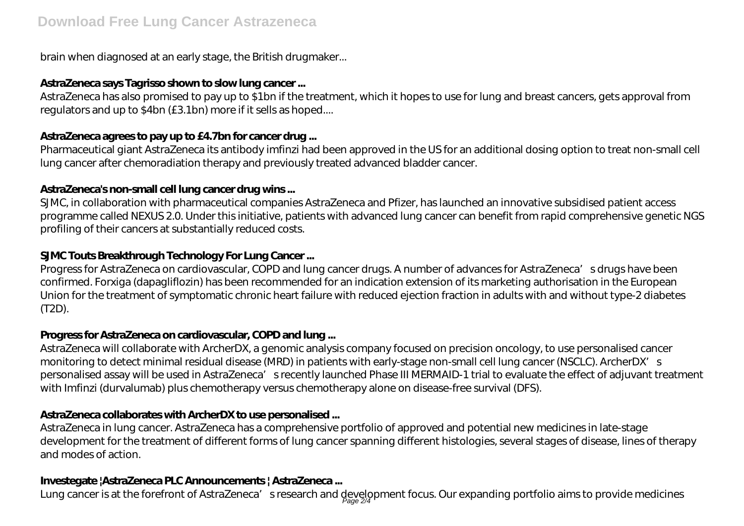brain when diagnosed at an early stage, the British drugmaker...

## **AstraZeneca says Tagrisso shown to slow lung cancer ...**

AstraZeneca has also promised to pay up to \$1bn if the treatment, which it hopes to use for lung and breast cancers, gets approval from regulators and up to \$4bn (£3.1bn) more if it sells as hoped....

## **AstraZeneca agrees to pay up to £4.7bn for cancer drug ...**

Pharmaceutical giant AstraZeneca its antibody imfinzi had been approved in the US for an additional dosing option to treat non-small cell lung cancer after chemoradiation therapy and previously treated advanced bladder cancer.

## **AstraZeneca's non-small cell lung cancer drug wins ...**

SJMC, in collaboration with pharmaceutical companies AstraZeneca and Pfizer, has launched an innovative subsidised patient access programme called NEXUS 2.0. Under this initiative, patients with advanced lung cancer can benefit from rapid comprehensive genetic NGS profiling of their cancers at substantially reduced costs.

## **SJMC Touts Breakthrough Technology For Lung Cancer ...**

Progress for AstraZeneca on cardiovascular, COPD and lung cancer drugs. A number of advances for AstraZeneca's drugs have been confirmed. Forxiga (dapagliflozin) has been recommended for an indication extension of its marketing authorisation in the European Union for the treatment of symptomatic chronic heart failure with reduced ejection fraction in adults with and without type-2 diabetes (T2D).

## **Progress for AstraZeneca on cardiovascular, COPD and lung ...**

AstraZeneca will collaborate with ArcherDX, a genomic analysis company focused on precision oncology, to use personalised cancer monitoring to detect minimal residual disease (MRD) in patients with early-stage non-small cell lung cancer (NSCLC). ArcherDX's personalised assay will be used in AstraZeneca's recently launched Phase III MERMAID-1 trial to evaluate the effect of adjuvant treatment with Imfinzi (durvalumab) plus chemotherapy versus chemotherapy alone on disease-free survival (DFS).

## **AstraZeneca collaborates with ArcherDX to use personalised ...**

AstraZeneca in lung cancer. AstraZeneca has a comprehensive portfolio of approved and potential new medicines in late-stage development for the treatment of different forms of lung cancer spanning different histologies, several stages of disease, lines of therapy and modes of action.

## **Investegate |AstraZeneca PLC Announcements | AstraZeneca ...**

Lung cancer is at the forefront of AstraZeneca′sresearch and development focus. Our expanding portfolio aims to provide medicines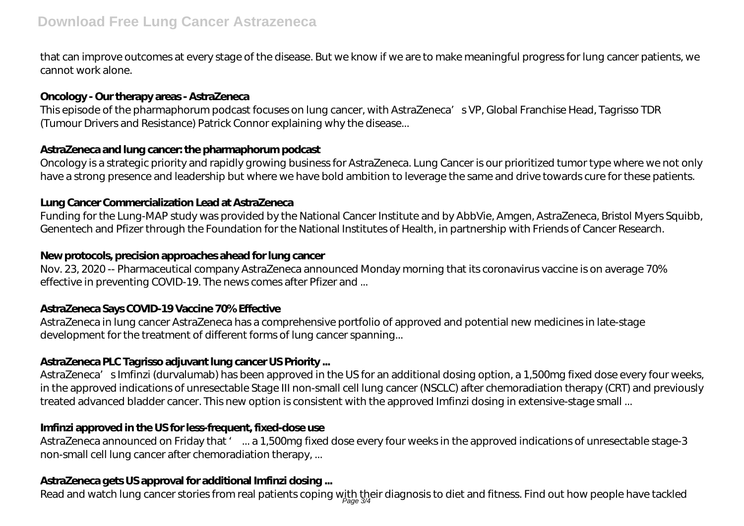that can improve outcomes at every stage of the disease. But we know if we are to make meaningful progress for lung cancer patients, we cannot work alone.

#### **Oncology - Our therapy areas - AstraZeneca**

This episode of the pharmaphorum podcast focuses on lung cancer, with AstraZeneca's VP, Global Franchise Head, Tagrisso TDR (Tumour Drivers and Resistance) Patrick Connor explaining why the disease...

#### **AstraZeneca and lung cancer: the pharmaphorum podcast**

Oncology is a strategic priority and rapidly growing business for AstraZeneca. Lung Cancer is our prioritized tumor type where we not only have a strong presence and leadership but where we have bold ambition to leverage the same and drive towards cure for these patients.

#### **Lung Cancer Commercialization Lead at AstraZeneca**

Funding for the Lung-MAP study was provided by the National Cancer Institute and by AbbVie, Amgen, AstraZeneca, Bristol Myers Squibb, Genentech and Pfizer through the Foundation for the National Institutes of Health, in partnership with Friends of Cancer Research.

#### **New protocols, precision approaches ahead for lung cancer**

Nov. 23, 2020 -- Pharmaceutical company AstraZeneca announced Monday morning that its coronavirus vaccine is on average 70% effective in preventing COVID-19. The news comes after Pfizer and ...

## **AstraZeneca Says COVID-19 Vaccine 70% Effective**

AstraZeneca in lung cancer AstraZeneca has a comprehensive portfolio of approved and potential new medicines in late-stage development for the treatment of different forms of lung cancer spanning...

## **AstraZeneca PLC Tagrisso adjuvant lung cancer US Priority ...**

AstraZeneca' s Imfinzi (durvalumab) has been approved in the US for an additional dosing option, a 1,500mg fixed dose every four weeks, in the approved indications of unresectable Stage III non-small cell lung cancer (NSCLC) after chemoradiation therapy (CRT) and previously treated advanced bladder cancer. This new option is consistent with the approved Imfinzi dosing in extensive-stage small ...

## **Imfinzi approved in the US for less-frequent, fixed-dose use**

AstraZeneca announced on Friday that ' ... a 1,500mg fixed dose every four weeks in the approved indications of unresectable stage-3 non-small cell lung cancer after chemoradiation therapy, ...

## **AstraZeneca gets US approval for additional Imfinzi dosing ...**

Read and watch lung cancer stories from real patients coping with their diagnosis to diet and fitness. Find out how people have tackled